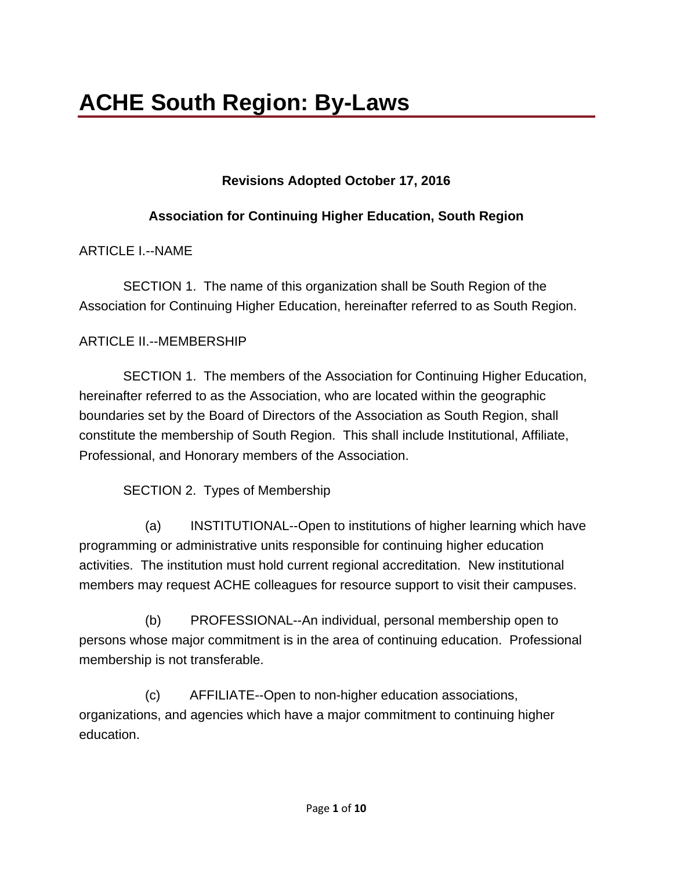# **Revisions Adopted October 17, 2016**

## **Association for Continuing Higher Education, South Region**

ARTICLE L--NAME

 SECTION 1. The name of this organization shall be South Region of the Association for Continuing Higher Education, hereinafter referred to as South Region.

## ARTICLE II.--MEMBERSHIP

 SECTION 1. The members of the Association for Continuing Higher Education, hereinafter referred to as the Association, who are located within the geographic boundaries set by the Board of Directors of the Association as South Region, shall constitute the membership of South Region. This shall include Institutional, Affiliate, Professional, and Honorary members of the Association.

SECTION 2. Types of Membership

(a) INSTITUTIONAL--Open to institutions of higher learning which have programming or administrative units responsible for continuing higher education activities. The institution must hold current regional accreditation. New institutional members may request ACHE colleagues for resource support to visit their campuses.

(b) PROFESSIONAL--An individual, personal membership open to persons whose major commitment is in the area of continuing education. Professional membership is not transferable.

(c) AFFILIATE--Open to non-higher education associations, organizations, and agencies which have a major commitment to continuing higher education.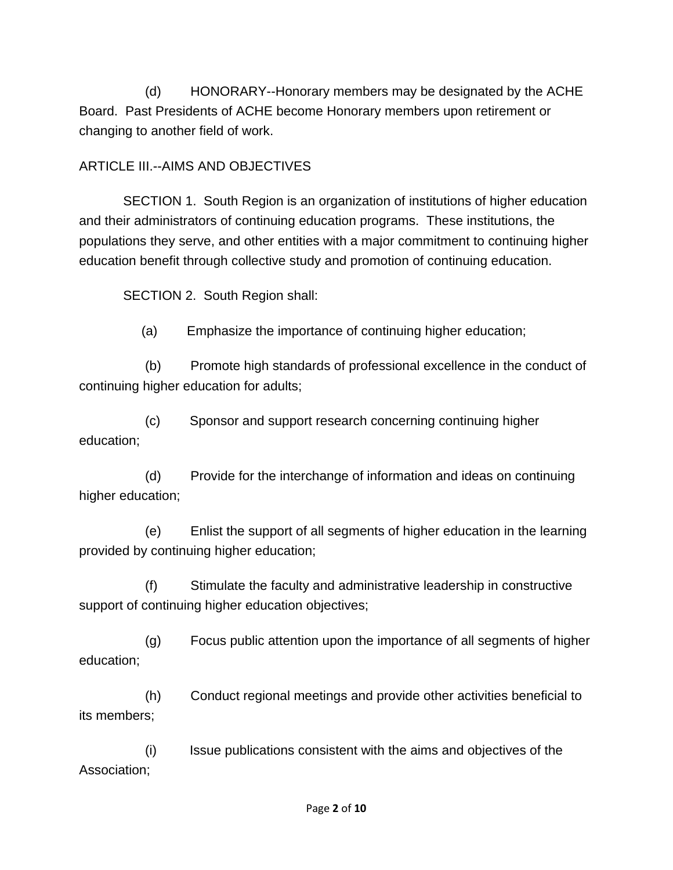(d) HONORARY--Honorary members may be designated by the ACHE Board. Past Presidents of ACHE become Honorary members upon retirement or changing to another field of work.

### ARTICLE III.--AIMS AND OBJECTIVES

 SECTION 1. South Region is an organization of institutions of higher education and their administrators of continuing education programs. These institutions, the populations they serve, and other entities with a major commitment to continuing higher education benefit through collective study and promotion of continuing education.

SECTION 2. South Region shall:

(a) Emphasize the importance of continuing higher education;

(b) Promote high standards of professional excellence in the conduct of continuing higher education for adults;

(c) Sponsor and support research concerning continuing higher education;

(d) Provide for the interchange of information and ideas on continuing higher education;

(e) Enlist the support of all segments of higher education in the learning provided by continuing higher education;

(f) Stimulate the faculty and administrative leadership in constructive support of continuing higher education objectives;

(g) Focus public attention upon the importance of all segments of higher education;

(h) Conduct regional meetings and provide other activities beneficial to its members;

(i) Issue publications consistent with the aims and objectives of the Association;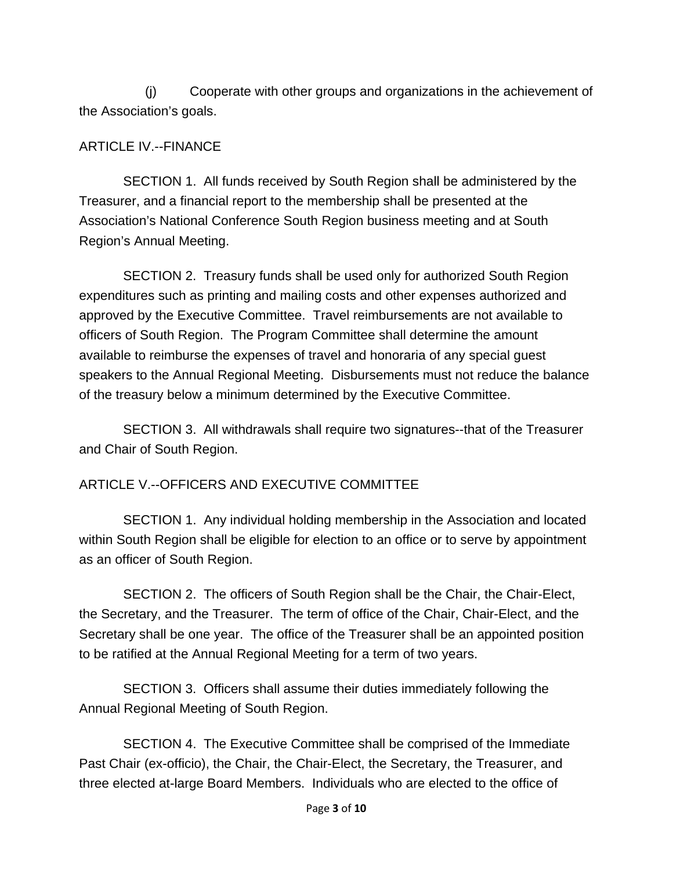(j) Cooperate with other groups and organizations in the achievement of the Association's goals.

### ARTICLE IV.--FINANCE

 SECTION 1. All funds received by South Region shall be administered by the Treasurer, and a financial report to the membership shall be presented at the Association's National Conference South Region business meeting and at South Region's Annual Meeting.

 SECTION 2. Treasury funds shall be used only for authorized South Region expenditures such as printing and mailing costs and other expenses authorized and approved by the Executive Committee. Travel reimbursements are not available to officers of South Region. The Program Committee shall determine the amount available to reimburse the expenses of travel and honoraria of any special guest speakers to the Annual Regional Meeting. Disbursements must not reduce the balance of the treasury below a minimum determined by the Executive Committee.

 SECTION 3. All withdrawals shall require two signatures--that of the Treasurer and Chair of South Region.

## ARTICLE V.--OFFICERS AND EXECUTIVE COMMITTEE

 SECTION 1. Any individual holding membership in the Association and located within South Region shall be eligible for election to an office or to serve by appointment as an officer of South Region.

 SECTION 2. The officers of South Region shall be the Chair, the Chair-Elect, the Secretary, and the Treasurer. The term of office of the Chair, Chair-Elect, and the Secretary shall be one year. The office of the Treasurer shall be an appointed position to be ratified at the Annual Regional Meeting for a term of two years.

 SECTION 3. Officers shall assume their duties immediately following the Annual Regional Meeting of South Region.

 SECTION 4. The Executive Committee shall be comprised of the Immediate Past Chair (ex-officio), the Chair, the Chair-Elect, the Secretary, the Treasurer, and three elected at-large Board Members. Individuals who are elected to the office of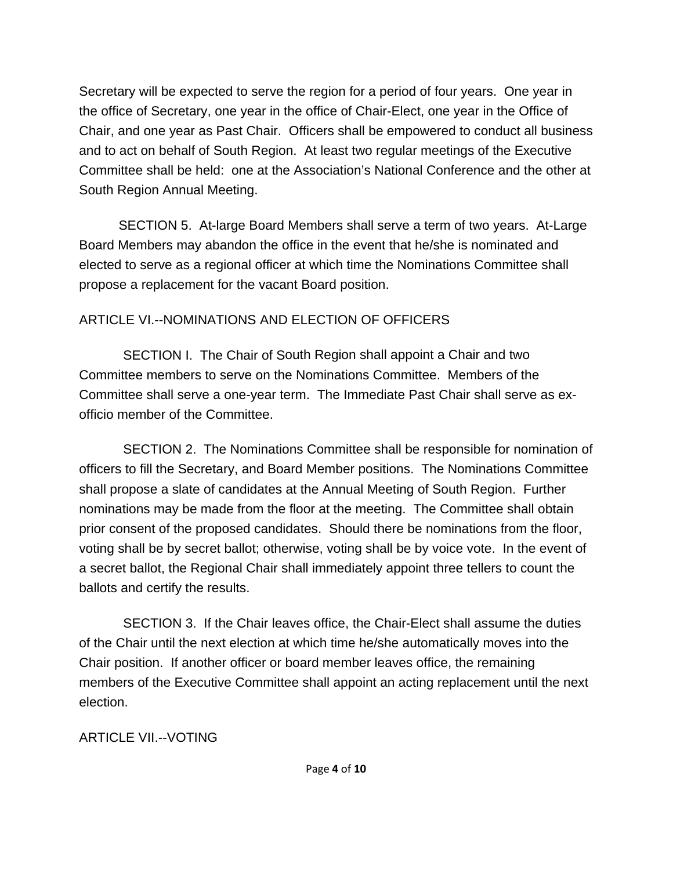Secretary will be expected to serve the region for a period of four years. One year in the office of Secretary, one year in the office of Chair-Elect, one year in the Office of Chair, and one year as Past Chair. Officers shall be empowered to conduct all business and to act on behalf of South Region. At least two regular meetings of the Executive Committee shall be held: one at the Association's National Conference and the other at South Region Annual Meeting.

SECTION 5. At-large Board Members shall serve a term of two years. At-Large Board Members may abandon the office in the event that he/she is nominated and elected to serve as a regional officer at which time the Nominations Committee shall propose a replacement for the vacant Board position.

# ARTICLE VI.--NOMINATIONS AND ELECTION OF OFFICERS

 SECTION I. The Chair of South Region shall appoint a Chair and two Committee members to serve on the Nominations Committee. Members of the Committee shall serve a one-year term. The Immediate Past Chair shall serve as exofficio member of the Committee.

 SECTION 2. The Nominations Committee shall be responsible for nomination of officers to fill the Secretary, and Board Member positions. The Nominations Committee shall propose a slate of candidates at the Annual Meeting of South Region. Further nominations may be made from the floor at the meeting. The Committee shall obtain prior consent of the proposed candidates. Should there be nominations from the floor, voting shall be by secret ballot; otherwise, voting shall be by voice vote. In the event of a secret ballot, the Regional Chair shall immediately appoint three tellers to count the ballots and certify the results.

 SECTION 3. If the Chair leaves office, the Chair-Elect shall assume the duties of the Chair until the next election at which time he/she automatically moves into the Chair position. If another officer or board member leaves office, the remaining members of the Executive Committee shall appoint an acting replacement until the next election.

ARTICLE VIL--VOTING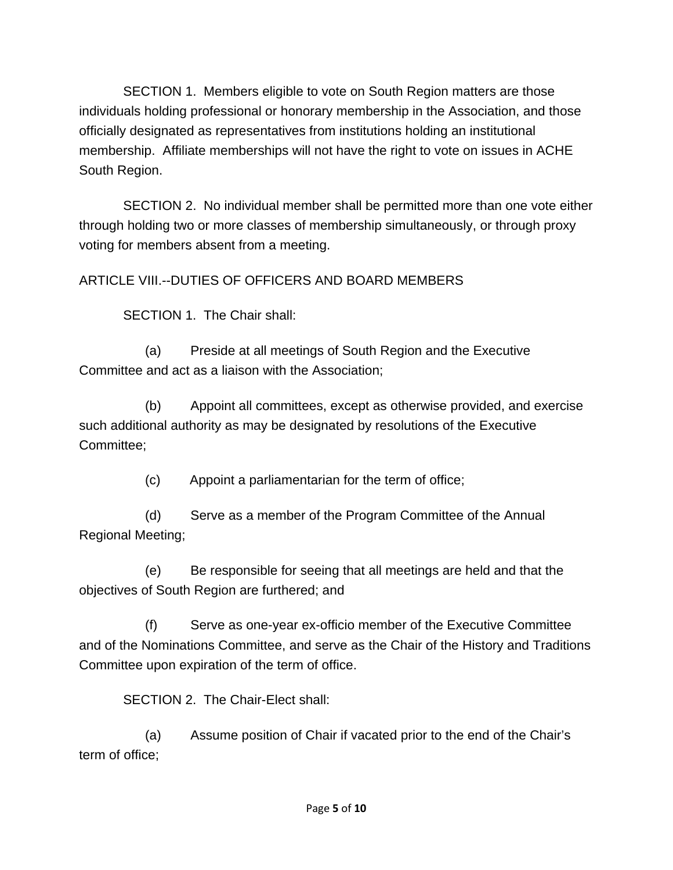SECTION 1. Members eligible to vote on South Region matters are those individuals holding professional or honorary membership in the Association, and those officially designated as representatives from institutions holding an institutional membership. Affiliate memberships will not have the right to vote on issues in ACHE South Region.

 SECTION 2. No individual member shall be permitted more than one vote either through holding two or more classes of membership simultaneously, or through proxy voting for members absent from a meeting.

ARTICLE VIII.--DUTIES OF OFFICERS AND BOARD MEMBERS

SECTION 1. The Chair shall:

(a) Preside at all meetings of South Region and the Executive Committee and act as a liaison with the Association;

(b) Appoint all committees, except as otherwise provided, and exercise such additional authority as may be designated by resolutions of the Executive Committee;

(c) Appoint a parliamentarian for the term of office;

(d) Serve as a member of the Program Committee of the Annual Regional Meeting;

(e) Be responsible for seeing that all meetings are held and that the objectives of South Region are furthered; and

(f) Serve as one-year ex-officio member of the Executive Committee and of the Nominations Committee, and serve as the Chair of the History and Traditions Committee upon expiration of the term of office.

SECTION 2. The Chair-Elect shall:

(a) Assume position of Chair if vacated prior to the end of the Chair's term of office;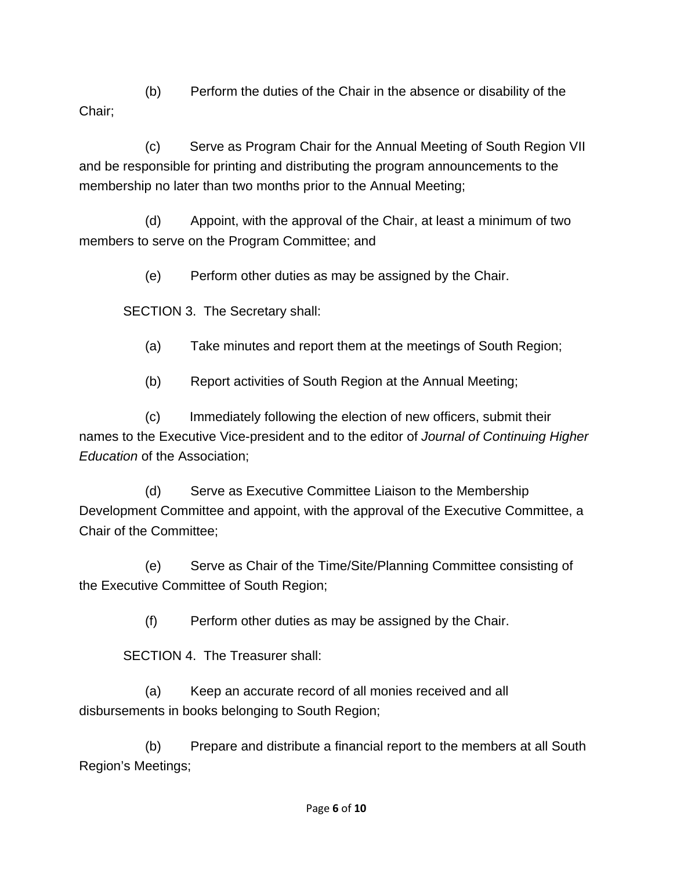(b) Perform the duties of the Chair in the absence or disability of the Chair;

(c) Serve as Program Chair for the Annual Meeting of South Region VII and be responsible for printing and distributing the program announcements to the membership no later than two months prior to the Annual Meeting;

(d) Appoint, with the approval of the Chair, at least a minimum of two members to serve on the Program Committee; and

(e) Perform other duties as may be assigned by the Chair.

SECTION 3. The Secretary shall:

- (a) Take minutes and report them at the meetings of South Region;
- (b) Report activities of South Region at the Annual Meeting;

(c) Immediately following the election of new officers, submit their names to the Executive Vice-president and to the editor of *Journal of Continuing Higher Education* of the Association;

(d) Serve as Executive Committee Liaison to the Membership Development Committee and appoint, with the approval of the Executive Committee, a Chair of the Committee;

(e) Serve as Chair of the Time/Site/Planning Committee consisting of the Executive Committee of South Region;

(f) Perform other duties as may be assigned by the Chair.

SECTION 4. The Treasurer shall:

(a) Keep an accurate record of all monies received and all disbursements in books belonging to South Region;

(b) Prepare and distribute a financial report to the members at all South Region's Meetings;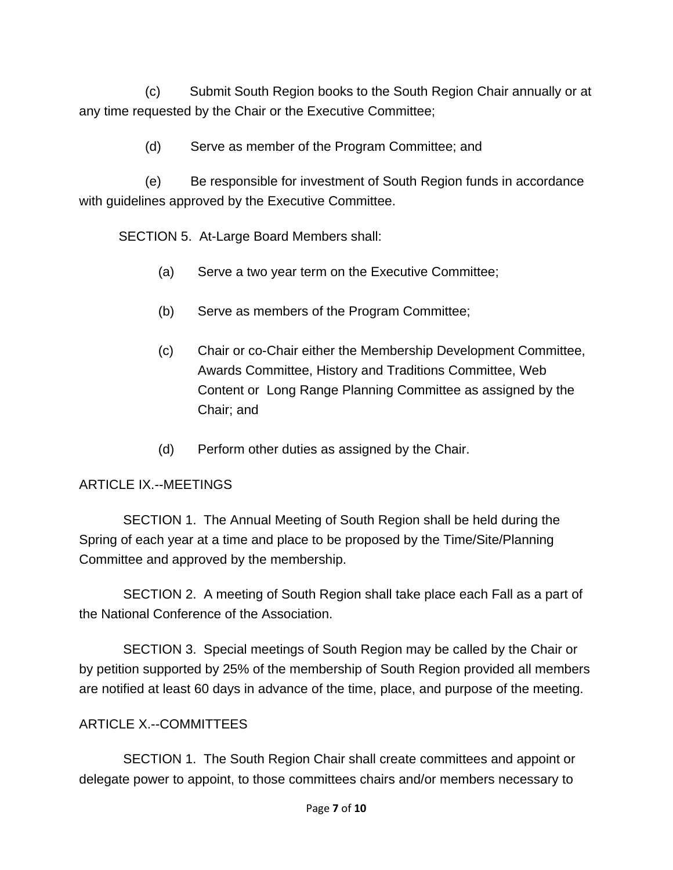(c) Submit South Region books to the South Region Chair annually or at any time requested by the Chair or the Executive Committee;

(d) Serve as member of the Program Committee; and

(e) Be responsible for investment of South Region funds in accordance with guidelines approved by the Executive Committee.

SECTION 5. At-Large Board Members shall:

- (a) Serve a two year term on the Executive Committee;
- (b) Serve as members of the Program Committee;
- (c) Chair or co-Chair either the Membership Development Committee, Awards Committee, History and Traditions Committee, Web Content or Long Range Planning Committee as assigned by the Chair; and
- (d) Perform other duties as assigned by the Chair.

#### ARTICLE IX.--MEETINGS

 SECTION 1. The Annual Meeting of South Region shall be held during the Spring of each year at a time and place to be proposed by the Time/Site/Planning Committee and approved by the membership.

 SECTION 2. A meeting of South Region shall take place each Fall as a part of the National Conference of the Association.

 SECTION 3. Special meetings of South Region may be called by the Chair or by petition supported by 25% of the membership of South Region provided all members are notified at least 60 days in advance of the time, place, and purpose of the meeting.

#### ARTICLE X.--COMMITTEES

 SECTION 1. The South Region Chair shall create committees and appoint or delegate power to appoint, to those committees chairs and/or members necessary to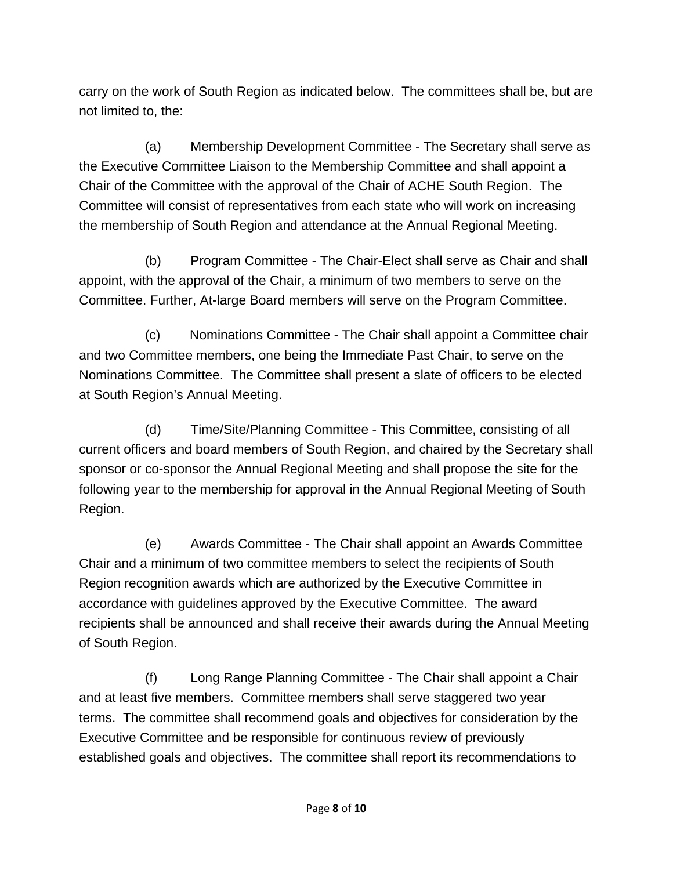carry on the work of South Region as indicated below. The committees shall be, but are not limited to, the:

(a) Membership Development Committee - The Secretary shall serve as the Executive Committee Liaison to the Membership Committee and shall appoint a Chair of the Committee with the approval of the Chair of ACHE South Region. The Committee will consist of representatives from each state who will work on increasing the membership of South Region and attendance at the Annual Regional Meeting.

(b) Program Committee - The Chair-Elect shall serve as Chair and shall appoint, with the approval of the Chair, a minimum of two members to serve on the Committee. Further, At-large Board members will serve on the Program Committee.

(c) Nominations Committee - The Chair shall appoint a Committee chair and two Committee members, one being the Immediate Past Chair, to serve on the Nominations Committee. The Committee shall present a slate of officers to be elected at South Region's Annual Meeting.

(d) Time/Site/Planning Committee - This Committee, consisting of all current officers and board members of South Region, and chaired by the Secretary shall sponsor or co-sponsor the Annual Regional Meeting and shall propose the site for the following year to the membership for approval in the Annual Regional Meeting of South Region.

(e) Awards Committee - The Chair shall appoint an Awards Committee Chair and a minimum of two committee members to select the recipients of South Region recognition awards which are authorized by the Executive Committee in accordance with guidelines approved by the Executive Committee. The award recipients shall be announced and shall receive their awards during the Annual Meeting of South Region.

(f) Long Range Planning Committee - The Chair shall appoint a Chair and at least five members. Committee members shall serve staggered two year terms. The committee shall recommend goals and objectives for consideration by the Executive Committee and be responsible for continuous review of previously established goals and objectives. The committee shall report its recommendations to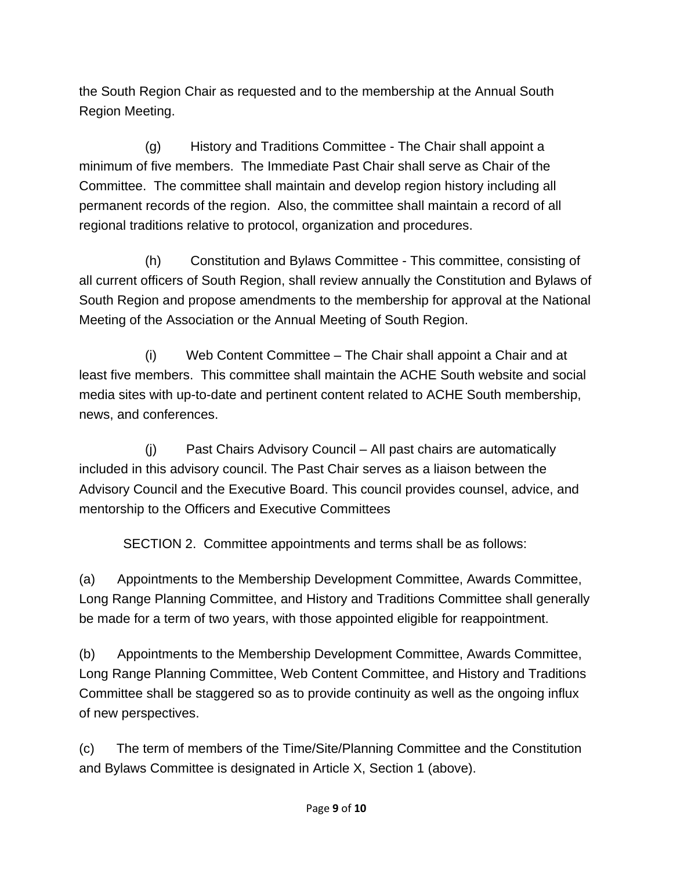the South Region Chair as requested and to the membership at the Annual South Region Meeting.

(g) History and Traditions Committee - The Chair shall appoint a minimum of five members. The Immediate Past Chair shall serve as Chair of the Committee. The committee shall maintain and develop region history including all permanent records of the region. Also, the committee shall maintain a record of all regional traditions relative to protocol, organization and procedures.

(h) Constitution and Bylaws Committee - This committee, consisting of all current officers of South Region, shall review annually the Constitution and Bylaws of South Region and propose amendments to the membership for approval at the National Meeting of the Association or the Annual Meeting of South Region.

(i) Web Content Committee – The Chair shall appoint a Chair and at least five members. This committee shall maintain the ACHE South website and social media sites with up-to-date and pertinent content related to ACHE South membership, news, and conferences.

(j) Past Chairs Advisory Council – All past chairs are automatically included in this advisory council. The Past Chair serves as a liaison between the Advisory Council and the Executive Board. This council provides counsel, advice, and mentorship to the Officers and Executive Committees

SECTION 2. Committee appointments and terms shall be as follows:

(a) Appointments to the Membership Development Committee, Awards Committee, Long Range Planning Committee, and History and Traditions Committee shall generally be made for a term of two years, with those appointed eligible for reappointment.

(b) Appointments to the Membership Development Committee, Awards Committee, Long Range Planning Committee, Web Content Committee, and History and Traditions Committee shall be staggered so as to provide continuity as well as the ongoing influx of new perspectives.

(c) The term of members of the Time/Site/Planning Committee and the Constitution and Bylaws Committee is designated in Article X, Section 1 (above).